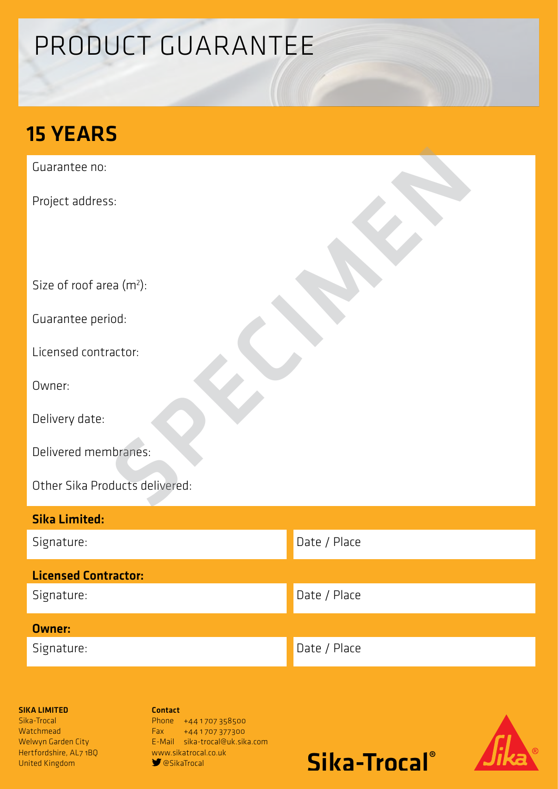# PRODUCT GUARANTEE

## 15 YEARS

Guarantee no:

Project address:

Size of roof area (m<sup>2</sup>):

Guarantee period:

Licensed contractor:

Owner:

Delivery date:

Delivered membranes:

Other Sika Products delivered: s:<br>Paa (m\*):<br>iod:<br>actor:<br>actor:<br>ducts delivered:<br>ducts delivered:

| <b>Sika Limited:</b>        |              |
|-----------------------------|--------------|
| Signature:                  | Date / Place |
| <b>Licensed Contractor:</b> |              |
| Signature:                  | Date / Place |
| <b>Owner:</b>               |              |
| Signature:                  | Date / Place |

### SIKA LIMITED

Sika-Trocal **Watchmead** Welwyn Garden City Hertfordshire, AL7 1BQ United Kingdom

Contact Phone +441707358500 Fax +44 1 707 377300 E-Mail sika-trocal@uk.sika.com www.sikatrocal.co.uk